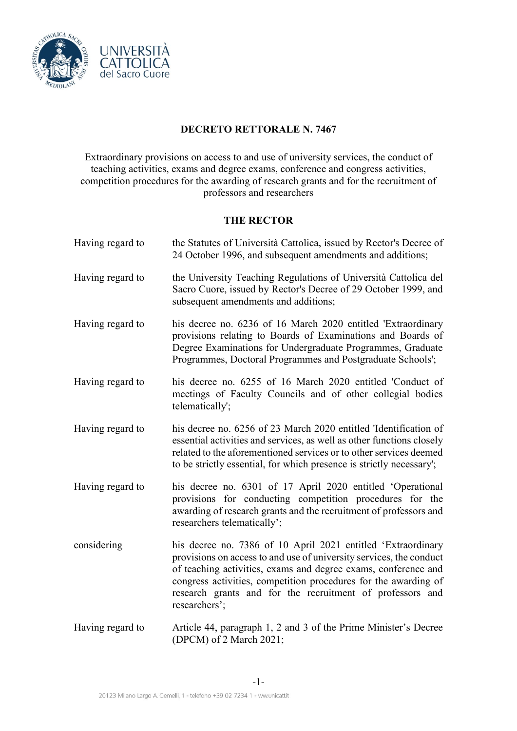

# **DECRETO RETTORALE N. 7467**

Extraordinary provisions on access to and use of university services, the conduct of teaching activities, exams and degree exams, conference and congress activities, competition procedures for the awarding of research grants and for the recruitment of professors and researchers

## **THE RECTOR**

| Having regard to | the Statutes of Università Cattolica, issued by Rector's Decree of<br>24 October 1996, and subsequent amendments and additions;                                                                                                                                                                                                                        |
|------------------|--------------------------------------------------------------------------------------------------------------------------------------------------------------------------------------------------------------------------------------------------------------------------------------------------------------------------------------------------------|
| Having regard to | the University Teaching Regulations of Università Cattolica del<br>Sacro Cuore, issued by Rector's Decree of 29 October 1999, and<br>subsequent amendments and additions;                                                                                                                                                                              |
| Having regard to | his decree no. 6236 of 16 March 2020 entitled 'Extraordinary<br>provisions relating to Boards of Examinations and Boards of<br>Degree Examinations for Undergraduate Programmes, Graduate<br>Programmes, Doctoral Programmes and Postgraduate Schools';                                                                                                |
| Having regard to | his decree no. 6255 of 16 March 2020 entitled 'Conduct of<br>meetings of Faculty Councils and of other collegial bodies<br>telematically';                                                                                                                                                                                                             |
| Having regard to | his decree no. 6256 of 23 March 2020 entitled 'Identification of<br>essential activities and services, as well as other functions closely<br>related to the aforementioned services or to other services deemed<br>to be strictly essential, for which presence is strictly necessary';                                                                |
| Having regard to | his decree no. 6301 of 17 April 2020 entitled 'Operational<br>provisions for conducting competition procedures for the<br>awarding of research grants and the recruitment of professors and<br>researchers telematically';                                                                                                                             |
| considering      | his decree no. 7386 of 10 April 2021 entitled 'Extraordinary<br>provisions on access to and use of university services, the conduct<br>of teaching activities, exams and degree exams, conference and<br>congress activities, competition procedures for the awarding of<br>research grants and for the recruitment of professors and<br>researchers'; |
| Having regard to | Article 44, paragraph 1, 2 and 3 of the Prime Minister's Decree<br>(DPCM) of 2 March 2021;                                                                                                                                                                                                                                                             |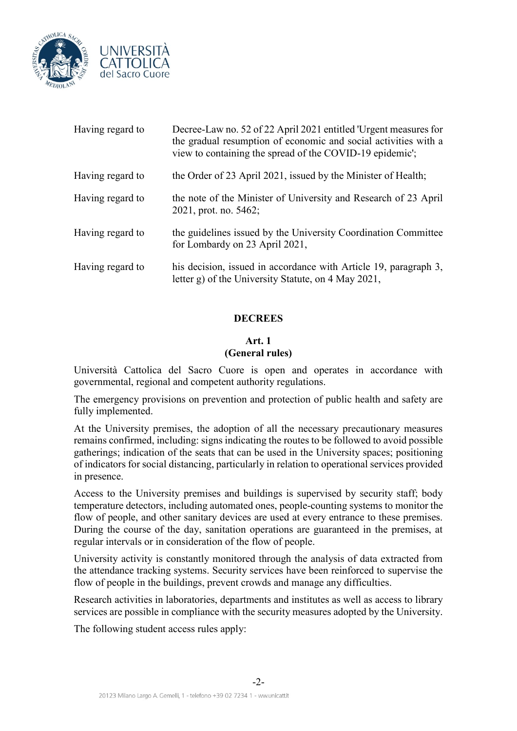

| Having regard to | Decree-Law no. 52 of 22 April 2021 entitled 'Urgent measures for<br>the gradual resumption of economic and social activities with a<br>view to containing the spread of the COVID-19 epidemic'; |
|------------------|-------------------------------------------------------------------------------------------------------------------------------------------------------------------------------------------------|
| Having regard to | the Order of 23 April 2021, issued by the Minister of Health;                                                                                                                                   |
| Having regard to | the note of the Minister of University and Research of 23 April<br>2021, prot. no. 5462;                                                                                                        |
| Having regard to | the guidelines issued by the University Coordination Committee<br>for Lombardy on 23 April 2021,                                                                                                |
| Having regard to | his decision, issued in accordance with Article 19, paragraph 3,<br>letter g) of the University Statute, on 4 May 2021,                                                                         |

## **DECREES**

## **Art. 1 (General rules)**

Università Cattolica del Sacro Cuore is open and operates in accordance with governmental, regional and competent authority regulations.

The emergency provisions on prevention and protection of public health and safety are fully implemented.

At the University premises, the adoption of all the necessary precautionary measures remains confirmed, including: signs indicating the routes to be followed to avoid possible gatherings; indication of the seats that can be used in the University spaces; positioning of indicators for social distancing, particularly in relation to operational services provided in presence.

Access to the University premises and buildings is supervised by security staff; body temperature detectors, including automated ones, people-counting systems to monitor the flow of people, and other sanitary devices are used at every entrance to these premises. During the course of the day, sanitation operations are guaranteed in the premises, at regular intervals or in consideration of the flow of people.

University activity is constantly monitored through the analysis of data extracted from the attendance tracking systems. Security services have been reinforced to supervise the flow of people in the buildings, prevent crowds and manage any difficulties.

Research activities in laboratories, departments and institutes as well as access to library services are possible in compliance with the security measures adopted by the University.

The following student access rules apply: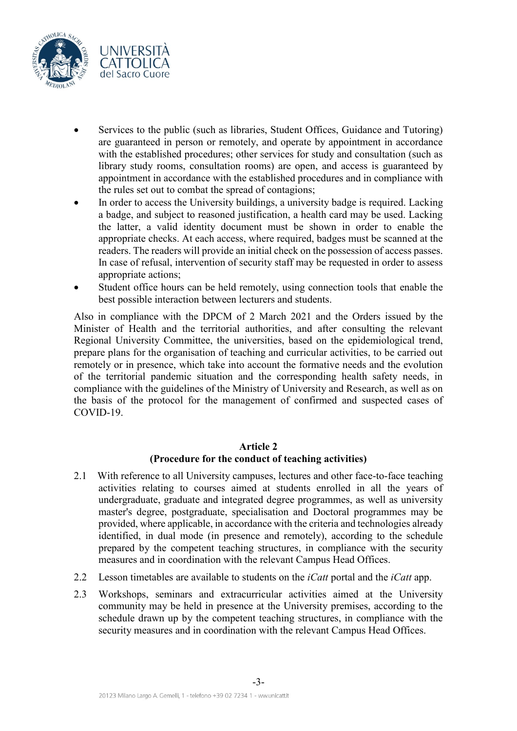

- Services to the public (such as libraries, Student Offices, Guidance and Tutoring) are guaranteed in person or remotely, and operate by appointment in accordance with the established procedures; other services for study and consultation (such as library study rooms, consultation rooms) are open, and access is guaranteed by appointment in accordance with the established procedures and in compliance with the rules set out to combat the spread of contagions;
- In order to access the University buildings, a university badge is required. Lacking a badge, and subject to reasoned justification, a health card may be used. Lacking the latter, a valid identity document must be shown in order to enable the appropriate checks. At each access, where required, badges must be scanned at the readers. The readers will provide an initial check on the possession of access passes. In case of refusal, intervention of security staff may be requested in order to assess appropriate actions;
- Student office hours can be held remotely, using connection tools that enable the best possible interaction between lecturers and students.

Also in compliance with the DPCM of 2 March 2021 and the Orders issued by the Minister of Health and the territorial authorities, and after consulting the relevant Regional University Committee, the universities, based on the epidemiological trend, prepare plans for the organisation of teaching and curricular activities, to be carried out remotely or in presence, which take into account the formative needs and the evolution of the territorial pandemic situation and the corresponding health safety needs, in compliance with the guidelines of the Ministry of University and Research, as well as on the basis of the protocol for the management of confirmed and suspected cases of COVID-19.

## **Article 2**

## **(Procedure for the conduct of teaching activities)**

- 2.1 With reference to all University campuses, lectures and other face-to-face teaching activities relating to courses aimed at students enrolled in all the years of undergraduate, graduate and integrated degree programmes, as well as university master's degree, postgraduate, specialisation and Doctoral programmes may be provided, where applicable, in accordance with the criteria and technologies already identified, in dual mode (in presence and remotely), according to the schedule prepared by the competent teaching structures, in compliance with the security measures and in coordination with the relevant Campus Head Offices.
- 2.2 Lesson timetables are available to students on the *iCatt* portal and the *iCatt* app.
- 2.3 Workshops, seminars and extracurricular activities aimed at the University community may be held in presence at the University premises, according to the schedule drawn up by the competent teaching structures, in compliance with the security measures and in coordination with the relevant Campus Head Offices.

-3-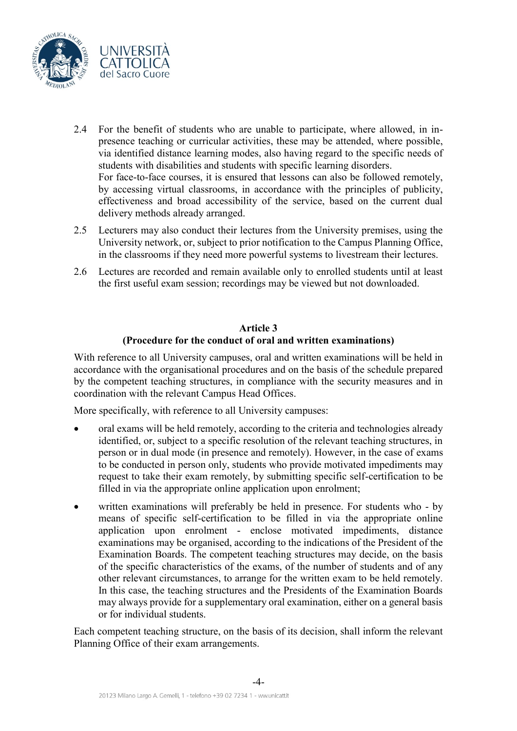

- 2.4 For the benefit of students who are unable to participate, where allowed, in inpresence teaching or curricular activities, these may be attended, where possible, via identified distance learning modes, also having regard to the specific needs of students with disabilities and students with specific learning disorders. For face-to-face courses, it is ensured that lessons can also be followed remotely, by accessing virtual classrooms, in accordance with the principles of publicity, effectiveness and broad accessibility of the service, based on the current dual delivery methods already arranged.
- 2.5 Lecturers may also conduct their lectures from the University premises, using the University network, or, subject to prior notification to the Campus Planning Office, in the classrooms if they need more powerful systems to livestream their lectures.
- 2.6 Lectures are recorded and remain available only to enrolled students until at least the first useful exam session; recordings may be viewed but not downloaded.

## **Article 3 (Procedure for the conduct of oral and written examinations)**

With reference to all University campuses, oral and written examinations will be held in accordance with the organisational procedures and on the basis of the schedule prepared by the competent teaching structures, in compliance with the security measures and in coordination with the relevant Campus Head Offices.

More specifically, with reference to all University campuses:

- oral exams will be held remotely, according to the criteria and technologies already identified, or, subject to a specific resolution of the relevant teaching structures, in person or in dual mode (in presence and remotely). However, in the case of exams to be conducted in person only, students who provide motivated impediments may request to take their exam remotely, by submitting specific self-certification to be filled in via the appropriate online application upon enrolment;
- written examinations will preferably be held in presence. For students who by means of specific self-certification to be filled in via the appropriate online application upon enrolment - enclose motivated impediments, distance examinations may be organised, according to the indications of the President of the Examination Boards. The competent teaching structures may decide, on the basis of the specific characteristics of the exams, of the number of students and of any other relevant circumstances, to arrange for the written exam to be held remotely. In this case, the teaching structures and the Presidents of the Examination Boards may always provide for a supplementary oral examination, either on a general basis or for individual students.

Each competent teaching structure, on the basis of its decision, shall inform the relevant Planning Office of their exam arrangements.

-4-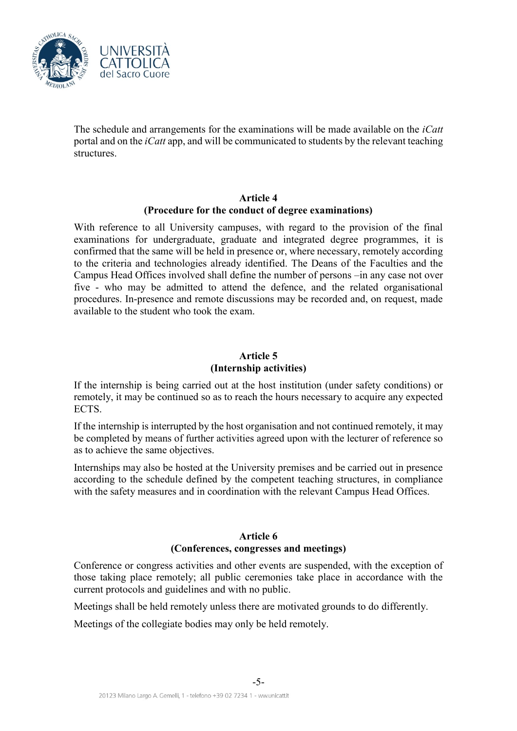

The schedule and arrangements for the examinations will be made available on the *iCatt* portal and on the *iCatt* app, and will be communicated to students by the relevant teaching structures.

## **Article 4 (Procedure for the conduct of degree examinations)**

With reference to all University campuses, with regard to the provision of the final examinations for undergraduate, graduate and integrated degree programmes, it is confirmed that the same will be held in presence or, where necessary, remotely according to the criteria and technologies already identified. The Deans of the Faculties and the Campus Head Offices involved shall define the number of persons –in any case not over five - who may be admitted to attend the defence, and the related organisational procedures. In-presence and remote discussions may be recorded and, on request, made available to the student who took the exam.

# **Article 5 (Internship activities)**

If the internship is being carried out at the host institution (under safety conditions) or remotely, it may be continued so as to reach the hours necessary to acquire any expected ECTS.

If the internship is interrupted by the host organisation and not continued remotely, it may be completed by means of further activities agreed upon with the lecturer of reference so as to achieve the same objectives.

Internships may also be hosted at the University premises and be carried out in presence according to the schedule defined by the competent teaching structures, in compliance with the safety measures and in coordination with the relevant Campus Head Offices.

## **Article 6 (Conferences, congresses and meetings)**

Conference or congress activities and other events are suspended, with the exception of those taking place remotely; all public ceremonies take place in accordance with the current protocols and guidelines and with no public.

Meetings shall be held remotely unless there are motivated grounds to do differently.

Meetings of the collegiate bodies may only be held remotely.